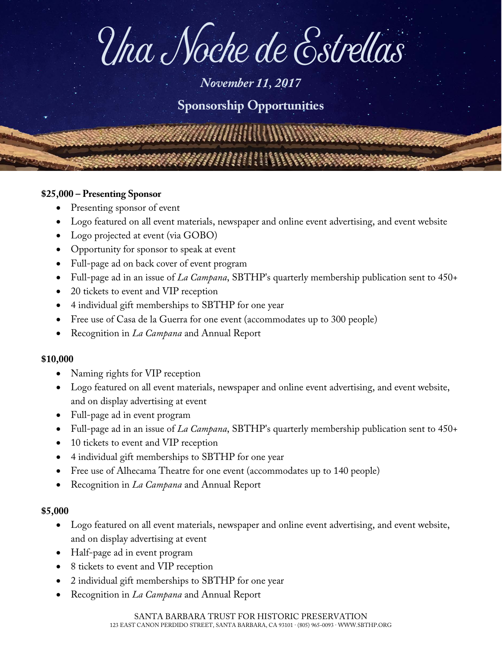# Una Noche de Estrellas

## *November 11, 2017*

## **Sponsorship Opportunities**

#### **\$25,000 – Presenting Sponsor**

- Presenting sponsor of event
- Logo featured on all event materials, newspaper and online event advertising, and event website
- Logo projected at event (via GOBO)
- Opportunity for sponsor to speak at event
- Full-page ad on back cover of event program
- Full-page ad in an issue of *La Campana*, SBTHP's quarterly membership publication sent to 450+
- 20 tickets to event and VIP reception
- 4 individual gift memberships to SBTHP for one year
- Free use of Casa de la Guerra for one event (accommodates up to 300 people)
- Recognition in *La Campana* and Annual Report

#### **\$10,000**

- Naming rights for VIP reception
- Logo featured on all event materials, newspaper and online event advertising, and event website, and on display advertising at event
- Full-page ad in event program
- Full-page ad in an issue of *La Campana*, SBTHP's quarterly membership publication sent to 450+
- 10 tickets to event and VIP reception
- 4 individual gift memberships to SBTHP for one year
- Free use of Alhecama Theatre for one event (accommodates up to 140 people)
- Recognition in *La Campana* and Annual Report

#### **\$5,000**

- Logo featured on all event materials, newspaper and online event advertising, and event website, and on display advertising at event
- Half-page ad in event program
- 8 tickets to event and VIP reception
- 2 individual gift memberships to SBTHP for one year
- Recognition in *La Campana* and Annual Report